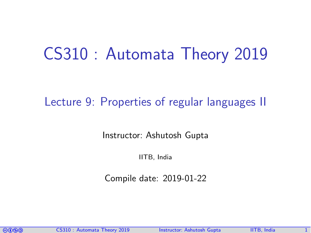# CS310 : Automata Theory 2019

### Lecture 9: Properties of regular languages II

Instructor: [Ashutosh Gupta](http://www.cse.iitb.ac.in/~akg/)

IITB, India

Compile date: 2019-01-22

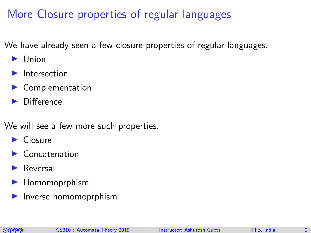## More Closure properties of regular languages

We have already seen a few closure properties of regular languages.

- $\blacktriangleright$  Union
- Intersection
- $\blacktriangleright$  Complementation
- **Difference**

We will see a few more such properties.

- $\blacktriangleright$  Closure
- $\blacktriangleright$  Concatenation
- $\blacktriangleright$  Reversal
- $\blacktriangleright$  Homomoprphism
- Inverse homomoprphism

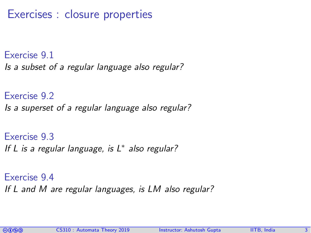Exercises : closure properties

Exercise 9.1 Is a subset of a regular language also regular?

Exercise 9.2 Is a superset of a regular language also regular?

Exercise 9.3 If  $L$  is a regular language, is  $L^*$  also regular?

Exercise 9.4 If L and M are regular languages, is LM also regular?

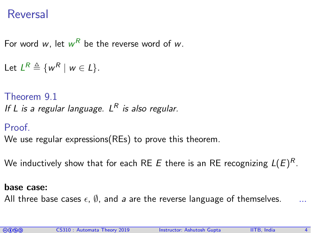### Reversal

For word  $w$ , let  $w^R$  be the reverse word of  $w$ .

```
Let L^R \triangleq \{w^R \mid w \in L\}.
```
Theorem 9.1 If L is a regular language.  $L^R$  is also regular.

Proof.

We use regular expressions(REs) to prove this theorem.

We inductively show that for each RE  $E$  there is an RE recognizing  $L(E)^R.$ 

#### base case:

All three base cases  $\epsilon$ ,  $\emptyset$ , and a are the reverse language of themselves.

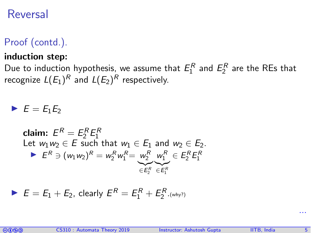#### Reversal

#### Proof (contd.).

#### induction step:

Due to induction hypothesis, we assume that  $E_1^R$  and  $E_2^R$  are the REs that recognize  $L(E_1)^R$  and  $L(E_2)^R$  respectively.

 $\blacktriangleright$   $E = E_1E_2$ 

claim: 
$$
E^R = E_2^R E_1^R
$$

\nLet  $w_1 w_2 \in E$  such that  $w_1 \in E_1$  and  $w_2 \in E_2$ .

\n $\blacktriangleright E^R \ni (w_1 w_2)^R = w_2^R w_1^R = \underbrace{w_2^R}_{\in E_2^R} \underbrace{w_1^R}_{\in E_2^R} \in E_2^R E_1^R$ 

$$
E = E_1 + E_2, \text{ clearly } E^R = E_1^R + E_2^R. \text{ (why?)}
$$



...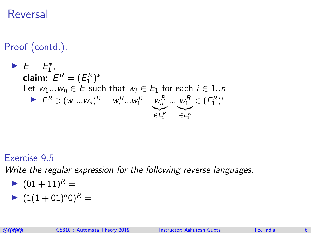### Reversal

Proof (contd.).

\n- \n
$$
E = E_1^*
$$
,\n  $E^R = (E_1^R)^*$ \n Let  $w_1 \dots w_n \in E$  such that  $w_i \in E_1$  for each  $i \in 1..n$ .\n
\n- \n $E^R \ni (w_1 \dots w_n)^R = w_n^R \dots w_1^R = \underbrace{w_n^R}_{\in E_1^R} \dots \underbrace{w_1^R}_{\in E_1^R} \in (E_1^R)^*$ \n
\n

#### Exercise 9.5

Write the regular expression for the following reverse languages.

$$
\blacktriangleright \hspace{0.1cm} (01+11)^R =
$$

$$
\blacktriangleright \; (1(1+01)^{*}0)^{R} =
$$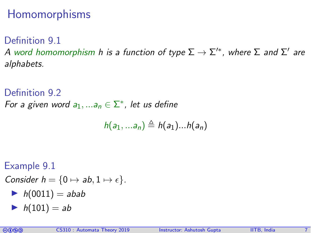### Homomorphisms

Definition 9.1 A word homomorphism h is a function of type  $\Sigma \to \Sigma'^*$ , where  $\Sigma$  and  $\Sigma'$  are alphabets.

#### Definition 9.2

For a given word  $a_1,...a_n \in \Sigma^*$ , let us define

$$
h(a_1,...a_n)\triangleq h(a_1)...h(a_n)
$$

Example 9.1

Consider  $h = \{0 \mapsto ab, 1 \mapsto \epsilon\}.$ 

- $h(0011) = abab$
- $h(101) = ab$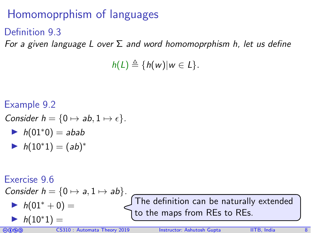## Homomoprphism of languages

#### Definition 9.3

For a given language L over  $\Sigma$  and word homomoprphism h, let us define

 $h(L) \triangleq \{h(w)|w \in L\}.$ 

Example 9.2 Consider  $h = \{0 \mapsto ab, 1 \mapsto \epsilon\}.$  $h(01<sup>*</sup>0) = abab$ •  $h(10^*1) = (ab)^*$ 

Exercise 9.6 Consider  $h = \{0 \mapsto a, 1 \mapsto ab\}.$  $h(01^* + 0) =$  $\blacktriangleright$  h(10\*1) = The definition can be naturally extended to the maps from REs to REs.

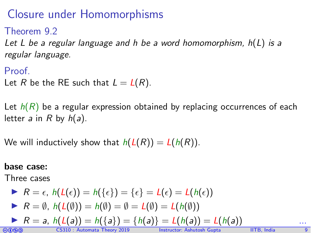### Closure under Homomorphisms

Theorem 9.2

Let L be a regular language and h be a word homomorphism,  $h(L)$  is a regular language.

Proof.

Let R be the RE such that  $L = L(R)$ .

Let  $h(R)$  be a regular expression obtained by replacing occurrences of each letter a in R by  $h(a)$ .

We will inductively show that  $h(L(R)) = L(h(R))$ .

#### base case:

Three cases

\n- $$
R = \epsilon
$$
,  $h(L(\epsilon)) = h(\{\epsilon\}) = \{\epsilon\} = L(\epsilon) = L(h(\epsilon))$
\n- $R = \emptyset$ ,  $h(L(\emptyset)) = h(\emptyset) = \emptyset = L(\emptyset) = L(h(\emptyset))$
\n

► 
$$
R = a
$$
,  $h(L(a)) = h(\{a\}) = \{h(a)\} = L(h(a)) = L(h(a))$  ...  
\n0.800 C5310 : Automata Theory 2019 Instructor: Ashutosh Gupta 11TB, India 13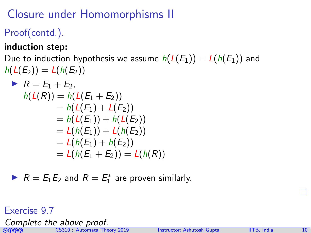# Closure under Homomorphisms II

Proof(contd.).

induction step:

Due to induction hypothesis we assume  $h(L(E_1)) = L(h(E_1))$  and  $h(L(E_2)) = L(h(E_2))$ 

$$
R = E_1 + E_2,
$$
  
\n
$$
h(L(R)) = h(L(E_1 + E_2))
$$
  
\n
$$
= h(L(E_1) + L(E_2))
$$
  
\n
$$
= h(L(E_1)) + h(L(E_2))
$$
  
\n
$$
= L(h(E_1)) + L(h(E_2))
$$
  
\n
$$
= L(h(E_1) + h(E_2))
$$
  
\n
$$
= L(h(E_1 + E_2)) = L(h(R))
$$

▶  $R = E_1 E_2$  and  $R = E_1^*$  are proven similarly.

#### Exercise 9.7

Complete the above proof.



comata CS310 : Automata Theory 2019 Instructor: [Ashutosh Gupta](http://www.cse.iitb.ac.in/~akg/) IITB, India 10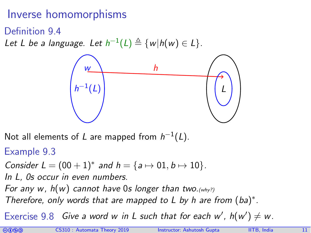### Inverse homomorphisms

Definition 9.4

Let L be a language. Let  $h^{-1}(L) \triangleq \{w | h(w) \in L\}$ .



Not all elements of L are mapped from  $h^{-1}(L)$ .

Example 9.3

Consider 
$$
L = (00 + 1)^*
$$
 and  $h = \{a \mapsto 01, b \mapsto 10\}$ .

In L, 0s occur in even numbers.

For any w,  $h(w)$  cannot have 0s longer than two. (why?)

Therefore, only words that are mapped to  $L$  by h are from  $(ba)^*$ .

Exercise 9.8 Give a word w in L such that for each w',  $h(w') \neq w$ .

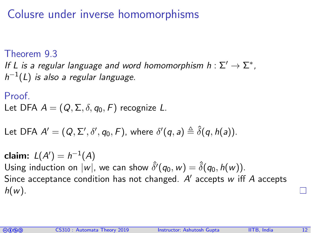### Colusre under inverse homomorphisms

#### Theorem 9.3

If L is a regular language and word homomorphism  $h: \Sigma' \to \Sigma^*$ ,  $\,h^{-1}(L)$  is also a regular language.

#### Proof. Let DFA  $A = (Q, \Sigma, \delta, q_0, F)$  recognize L.

Let DFA 
$$
A' = (Q, \Sigma', \delta', q_0, F)
$$
, where  $\delta'(q, a) \triangleq \hat{\delta}(q, h(a))$ .

claim:  $L(A') = h^{-1}(A)$ Using induction on  $|w|$ , we can show  $\hat{\delta}'(q_0, w) = \hat{\delta}(q_0, h(w))$ . Since acceptance condition has not changed.  $A'$  accepts w iff  $A$  accepts  $h(w)$ .

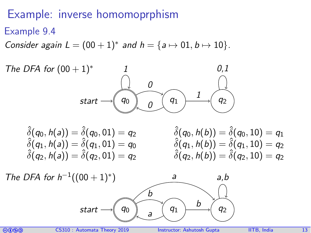### Example: inverse homomoprphism

Example 9.4

Consider again  $L = (00 + 1)^*$  and  $h = \{a \mapsto 01, b \mapsto 10\}.$ 



 $\hat{\delta}(q_0, h(a)) = \hat{\delta}(q_0, 01) = q_2$   $\hat{\delta}(q_0, h(b)) = \hat{\delta}(q_0, 10) = q_1$ <br>  $\hat{\delta}(q_1, h(b)) = \hat{\delta}(q_1, 10) = q_2$   $\hat{\delta}(q_1, h(b)) = \hat{\delta}(q_1, 10) = q_2$  $\hat{\delta}(q_1, h(a)) = \hat{\delta}(q_1, 01) = q_0$  $\hat{\delta}(q_2, h(q)) = \hat{\delta}(q_2, 01) = q_2$   $\hat{\delta}(q_2, h(b)) = \hat{\delta}(q_2, 10) = q_2$ 



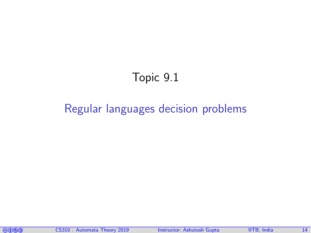## Topic 9.1

#### <span id="page-13-0"></span>[Regular languages decision problems](#page-13-0)

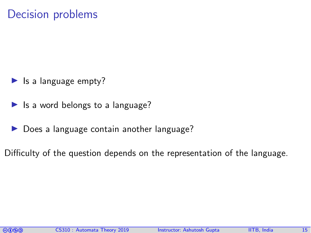### Decision problems

- $\blacktriangleright$  Is a language empty?
- $\blacktriangleright$  Is a word belongs to a language?
- $\triangleright$  Does a language contain another language?

Difficulty of the question depends on the representation of the language.

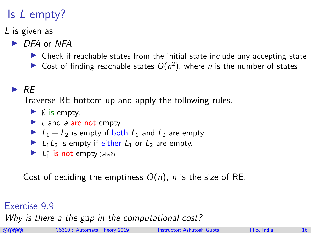# Is L empty?

#### L is given as

- $\triangleright$  DFA or NFA
	- $\triangleright$  Check if reachable states from the initial state include any accepting state
	- Gost of finding reachable states  $O(n^2)$ , where *n* is the number of states

#### $\triangleright$  RE

Traverse RE bottom up and apply the following rules.

- $\triangleright$   $\emptyset$  is empty.
- $\blacktriangleright$   $\epsilon$  and a are not empty.
- $\blacktriangleright$   $L_1 + L_2$  is empty if both  $L_1$  and  $L_2$  are empty.
- $\blacktriangleright$   $L_1L_2$  is empty if either  $L_1$  or  $L_2$  are empty.
- $\blacktriangleright$   $L_1^*$  is not empty. (why?)

Cost of deciding the emptiness  $O(n)$ , *n* is the size of RE.

#### Exercise 9.9

Why is there a the gap in the computational cost?

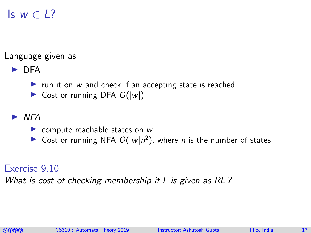## Is  $w \in L$ ?

Language given as

 $\blacktriangleright$  DFA

- run it on  $w$  and check if an accepting state is reached
- $\triangleright$  Cost or running DFA  $O(|w|)$

I NFA

- $\triangleright$  compute reachable states on w
- Sost or running NFA  $O(|w|n^2)$ , where *n* is the number of states

#### Exercise 9.10

What is cost of checking membership if L is given as RE?